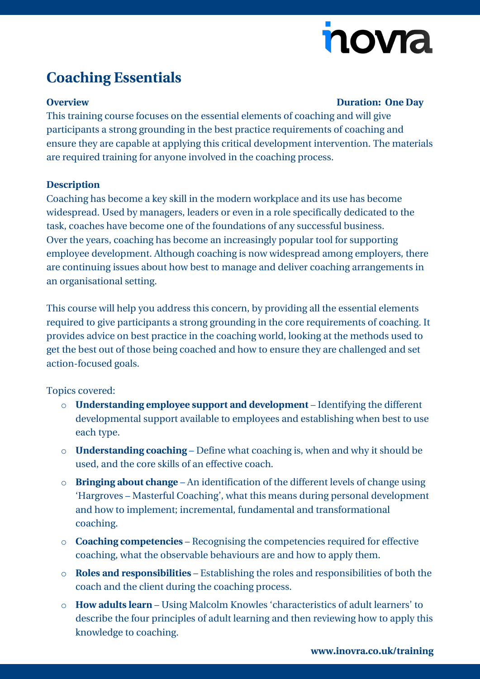# nova

## **Coaching Essentials**

### **Overview Duration: One Day**

This training course focuses on the essential elements of coaching and will give participants a strong grounding in the best practice requirements of coaching and ensure they are capable at applying this critical development intervention. The materials are required training for anyone involved in the coaching process.

### **Description**

Coaching has become a key skill in the modern workplace and its use has become widespread. Used by managers, leaders or even in a role specifically dedicated to the task, coaches have become one of the foundations of any successful business. Over the years, coaching has become an increasingly popular tool for supporting employee development. Although coaching is now widespread among employers, there are continuing issues about how best to manage and deliver coaching arrangements in an organisational setting.

This course will help you address this concern, by providing all the essential elements required to give participants a strong grounding in the core requirements of coaching. It provides advice on best practice in the coaching world, looking at the methods used to get the best out of those being coached and how to ensure they are challenged and set action-focused goals.

### Topics covered:

- o **Understanding employee support and development** Identifying the different developmental support available to employees and establishing when best to use each type.
- o **Understanding coaching** Define what coaching is, when and why it should be used, and the core skills of an effective coach.
- o **Bringing about change** An identification of the different levels of change using 'Hargroves – Masterful Coaching', what this means during personal development and how to implement; incremental, fundamental and transformational coaching.
- o **Coaching competencies** Recognising the competencies required for effective coaching, what the observable behaviours are and how to apply them.
- o **Roles and responsibilities** Establishing the roles and responsibilities of both the coach and the client during the coaching process.
- o **How adults learn** Using Malcolm Knowles 'characteristics of adult learners' to describe the four principles of adult learning and then reviewing how to apply this knowledge to coaching.